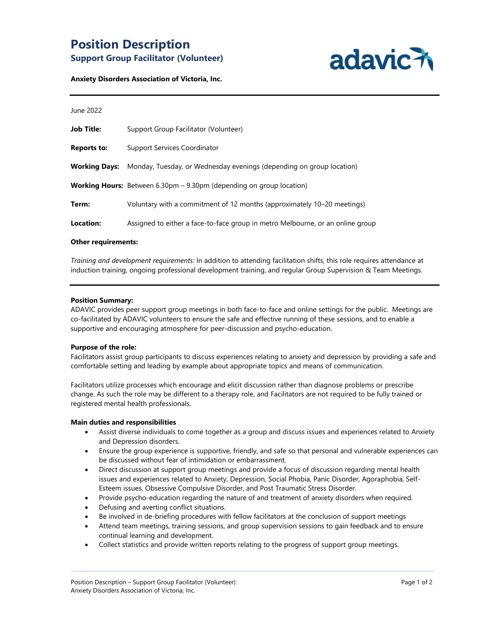# **Position Description Support Group Facilitator (Volunteer)**



**Anxiety Disorders Association of Victoria, Inc.**

June 2022

| Job Title:           | Support Group Facilitator (Volunteer)                                          |
|----------------------|--------------------------------------------------------------------------------|
| <b>Reports to:</b>   | <b>Support Services Coordinator</b>                                            |
| <b>Working Days:</b> | Monday, Tuesday, or Wednesday evenings (depending on group location)           |
|                      | <b>Working Hours:</b> Between 6.30pm $-$ 9.30pm (depending on group location)  |
| Term:                | Voluntary with a commitment of 12 months (approximately 10–20 meetings)        |
| Location:            | Assigned to either a face-to-face group in metro Melbourne, or an online group |
|                      |                                                                                |

## **Other requirements:**

*Training and development requirements:* In addition to attending facilitation shifts, this role requires attendance at induction training, ongoing professional development training, and regular Group Supervision & Team Meetings.

#### **Position Summary:**

ADAVIC provides peer support group meetings in both face-to-face and online settings for the public. Meetings are co-facilitated by ADAVIC volunteers to ensure the safe and effective running of these sessions, and to enable a supportive and encouraging atmosphere for peer-discussion and psycho-education.

### **Purpose of the role:**

Facilitators assist group participants to discuss experiences relating to anxiety and depression by providing a safe and comfortable setting and leading by example about appropriate topics and means of communication.

Facilitators utilize processes which encourage and elicit discussion rather than diagnose problems or prescribe change. As such the role may be different to a therapy role, and Facilitators are not required to be fully trained or registered mental health professionals.

#### **Main duties and responsibilities**

- Assist diverse individuals to come together as a group and discuss issues and experiences related to Anxiety and Depression disorders.
- Ensure the group experience is supportive, friendly, and safe so that personal and vulnerable experiences can be discussed without fear of intimidation or embarrassment.
- Direct discussion at support group meetings and provide a focus of discussion regarding mental health issues and experiences related to Anxiety, Depression, Social Phobia, Panic Disorder, Agoraphobia, Self-Esteem issues, Obsessive Compulsive Disorder, and Post Traumatic Stress Disorder.
- Provide psycho-education regarding the nature of and treatment of anxiety disorders when required.
- Defusing and averting conflict situations.
- Be involved in de-briefing procedures with fellow facilitators at the conclusion of support meetings
- Attend team meetings, training sessions, and group supervision sessions to gain feedback and to ensure continual learning and development.
- Collect statistics and provide written reports relating to the progress of support group meetings.